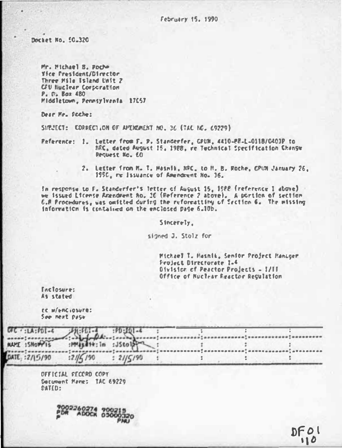February 15, 1990

Dochet No. 50,320

Mr. Michael B. Pocho Yice President/Director Three Mile Island Unit 2 CFU Nuclear Corporation P. C. Baz 480 Middletown, Pennsylvania 17657

Dear Me. Poche:

SIRVECT: CORRECTION OF APTIGMENT NO. 36 (TAC NO. 69229)

Reference: 1. Lutter from F. P. Standerfer, GPUN, 4410-88-L-0118/0403P to MRC, dated August 15, 1988, re Tuchnical Specification Change Pequest No. 60

> 2. Letter from M. T. Masnik, NPC, to H. B. Roche, CPUN January 26. 1950, me Issuance of Reendeent No. 36.

In response to F. Standerfer's letter of August 15, 1588 (reference I above) we issued Liconse Amendment No. 36 (Reference 2 above), A portion of section C.P Procedures, was omitted during the reformattiny of Section 6. The missing information is contained on the enclosed page 6.10b.

Sincerely,

signed J. Stolz for

Michael T. Masnia, Senfor Project Manager Project Directorate 1.4 Division of Peactor Projects - I/II Office of Muclear Reactor Reculation

Leclosure: As stated

EC W/enciosure: See next page

|                 |          |           |  | $\mathbf{p}^{\mathsf{T}}_{\mathsf{A}}$ a $\mathsf{W}}$ as a s a s a |
|-----------------|----------|-----------|--|---------------------------------------------------------------------|
| DATE: : 2/15/90 | :21/5190 | : 21/5/90 |  |                                                                     |

DEEICLU CECORD CORY Decument Heme: TAC 69229 DATED:

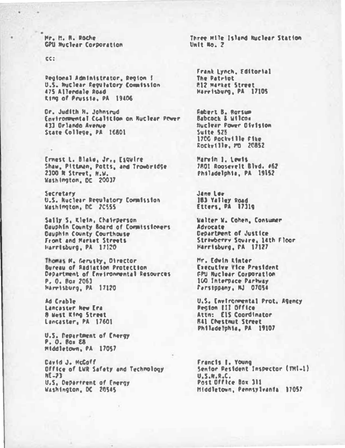Mr. M. N. Roche CPIL Shirlear Corporation

cc:

Pegional Administrator, Region { U.S. Nuclear Fegulatory Commission 475 Allendale Road ting of Prussia, PA 19406

Dr. Judith H. Johnsrud Environmental Cralition on Buclear Primer 433 Orlando Avenue State College, PA 16801

Ernest L. Blake, Jr., Esquire Shaw, Pittman, Potts, and Trowbridge 2300 N Street, N.W. Washington, DC 20037

Secretary U.S. Ruclear Regulatory Cormission Washington, DC 20555

Sally S, Klein, Chairperson Dauphin County Board of Cormissioners Dauphin County Courthouse Front and Harbot Streets Harrisburg, PA 17120

Thomas M. Gerusky, Director Bureau of Radiation Protection Department of Environmental Resources P. O. Box 2063 Marrisburg, PA 17120

Ad Crahle Lancaster New Era **8 Hest King Street** Lancaster, PA 17601

U.S. Department of Energy P. O. Box 28 Middletown, PA 17057

David J. HcCoff Office of LVR Safety and Technology  $N<sub>1</sub>$ U.S. Department of Energy Washington, DC 20545

Three Hile Island Nuclear Station  $1 - 10$   $10 - 2$ 

Frank Lynch, Editorial The Patriot **812 Market Street** Harrisburg, PA 17105

**Fabert B. Rorsum Babcock & Wilcom Nuclear Power Oivision** Suite SZS 1700 Pockville Fike Rocky111e. PD 20852

Marvin 1, Levis 7801 Roosevelt Blvd. 062 Philadelphia, PA 19152

Jane Lew 183 Yalley Road Etters, PA 17319

Walter W. Cohen, Consumer Advorate Department of Justice Strawberry Square, 14th Floor Harrisburg, FA 17127

Mr. Edwin Kinter **Executive Vice President CPU Nuclear Corporation** 100 Interpace Partway Parstppany, NJ 07054

U.S. Environmental Prot. Agency Pecion III Office Attn: ElS Coordinator **RAI Chestnut Street** Philadelphia, PA 19107

Francis I. Young Sentor Pesident Inspector (THI-1) U.S.M.R.C.<br>Post Office Box 311 Hiddletown, Pennsylvania 17057